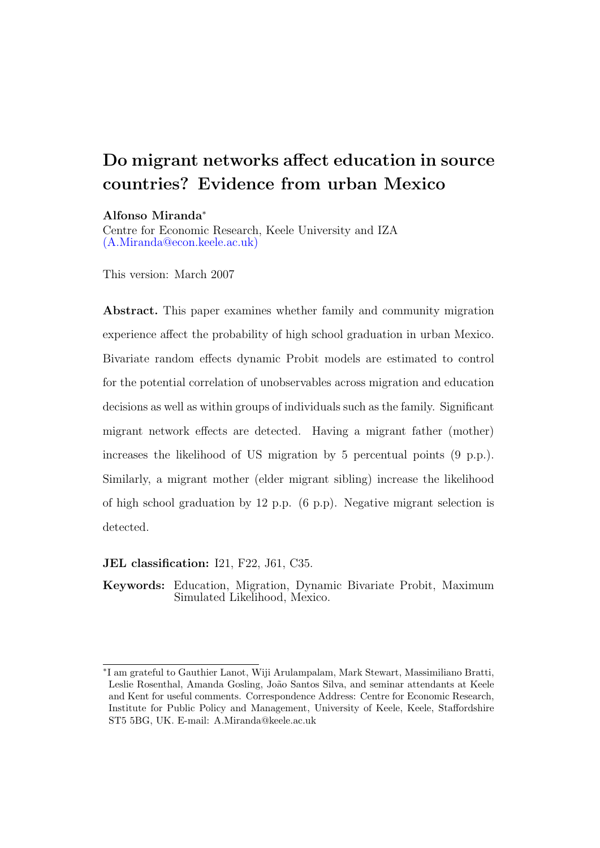# Do migrant networks affect education in source countries? Evidence from urban Mexico

### Alfonso Miranda<sup>∗</sup>

Centre for Economic Research, Keele University and IZA [\(A.Miranda@econ.keele.ac.uk\)](mailto:A.Miranda@econ.keele.ac.uk)

This version: March 2007

Abstract. This paper examines whether family and community migration experience affect the probability of high school graduation in urban Mexico. Bivariate random effects dynamic Probit models are estimated to control for the potential correlation of unobservables across migration and education decisions as well as within groups of individuals such as the family. Significant migrant network effects are detected. Having a migrant father (mother) increases the likelihood of US migration by 5 percentual points (9 p.p.). Similarly, a migrant mother (elder migrant sibling) increase the likelihood of high school graduation by 12 p.p. (6 p.p). Negative migrant selection is detected.

JEL classification: I21, F22, J61, C35.

Keywords: Education, Migration, Dynamic Bivariate Probit, Maximum Simulated Likelihood, Mexico.

<sup>∗</sup> I am grateful to Gauthier Lanot, Wiji Arulampalam, Mark Stewart, Massimiliano Bratti, Leslie Rosenthal, Amanda Gosling, João Santos Silva, and seminar attendants at Keele and Kent for useful comments. Correspondence Address: Centre for Economic Research, Institute for Public Policy and Management, University of Keele, Keele, Staffordshire ST5 5BG, UK. E-mail: A.Miranda@keele.ac.uk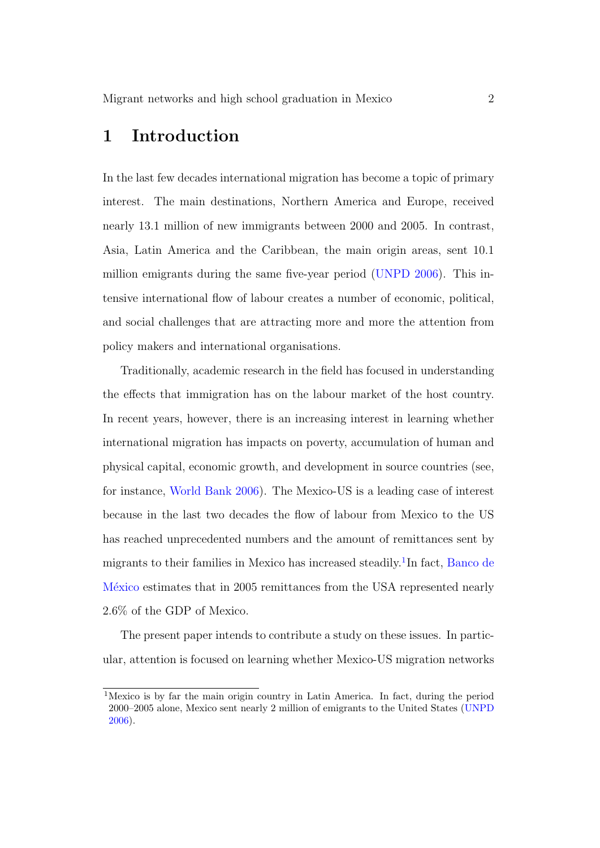## 1 Introduction

In the last few decades international migration has become a topic of primary interest. The main destinations, Northern America and Europe, received nearly 13.1 million of new immigrants between 2000 and 2005. In contrast, Asia, Latin America and the Caribbean, the main origin areas, sent 10.1 million emigrants during the same five-year period [\(UNPD](#page-28-0) [2006\)](#page-28-0). This intensive international flow of labour creates a number of economic, political, and social challenges that are attracting more and more the attention from policy makers and international organisations.

Traditionally, academic research in the field has focused in understanding the effects that immigration has on the labour market of the host country. In recent years, however, there is an increasing interest in learning whether international migration has impacts on poverty, accumulation of human and physical capital, economic growth, and development in source countries (see, for instance, [World Bank](#page-28-1) [2006\)](#page-28-1). The Mexico-US is a leading case of interest because in the last two decades the flow of labour from Mexico to the US has reached unprecedented numbers and the amount of remittances sent by migrants to their families in Mexico has increased steadily.<sup>[1](#page-1-0)</sup>In fact, [Banco de](#page-26-0) México estimates that in 2005 remittances from the USA represented nearly 2.6% of the GDP of Mexico.

The present paper intends to contribute a study on these issues. In particular, attention is focused on learning whether Mexico-US migration networks

<span id="page-1-0"></span><sup>1</sup>Mexico is by far the main origin country in Latin America. In fact, during the period 2000–2005 alone, Mexico sent nearly 2 million of emigrants to the United States [\(UNPD](#page-28-0) [2006\)](#page-28-0).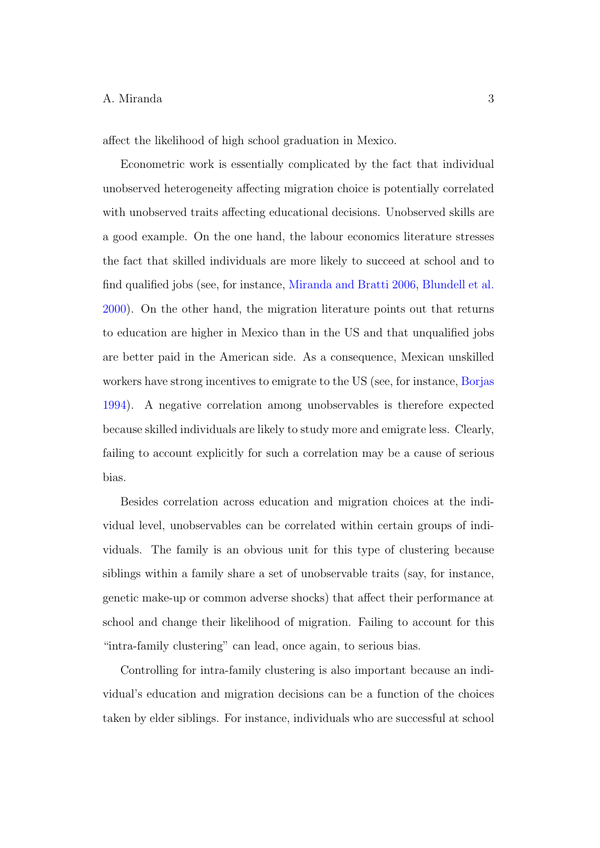affect the likelihood of high school graduation in Mexico.

Econometric work is essentially complicated by the fact that individual unobserved heterogeneity affecting migration choice is potentially correlated with unobserved traits affecting educational decisions. Unobserved skills are a good example. On the one hand, the labour economics literature stresses the fact that skilled individuals are more likely to succeed at school and to find qualified jobs (see, for instance, [Miranda and Bratti](#page-27-0) [2006,](#page-27-0) [Blundell et al.](#page-26-1) [2000\)](#page-26-1). On the other hand, the migration literature points out that returns to education are higher in Mexico than in the US and that unqualified jobs are better paid in the American side. As a consequence, Mexican unskilled workers have strong incentives to emigrate to the US (see, for instance, [Borjas](#page-26-2) [1994\)](#page-26-2). A negative correlation among unobservables is therefore expected because skilled individuals are likely to study more and emigrate less. Clearly, failing to account explicitly for such a correlation may be a cause of serious bias.

Besides correlation across education and migration choices at the individual level, unobservables can be correlated within certain groups of individuals. The family is an obvious unit for this type of clustering because siblings within a family share a set of unobservable traits (say, for instance, genetic make-up or common adverse shocks) that affect their performance at school and change their likelihood of migration. Failing to account for this "intra-family clustering" can lead, once again, to serious bias.

Controlling for intra-family clustering is also important because an individual's education and migration decisions can be a function of the choices taken by elder siblings. For instance, individuals who are successful at school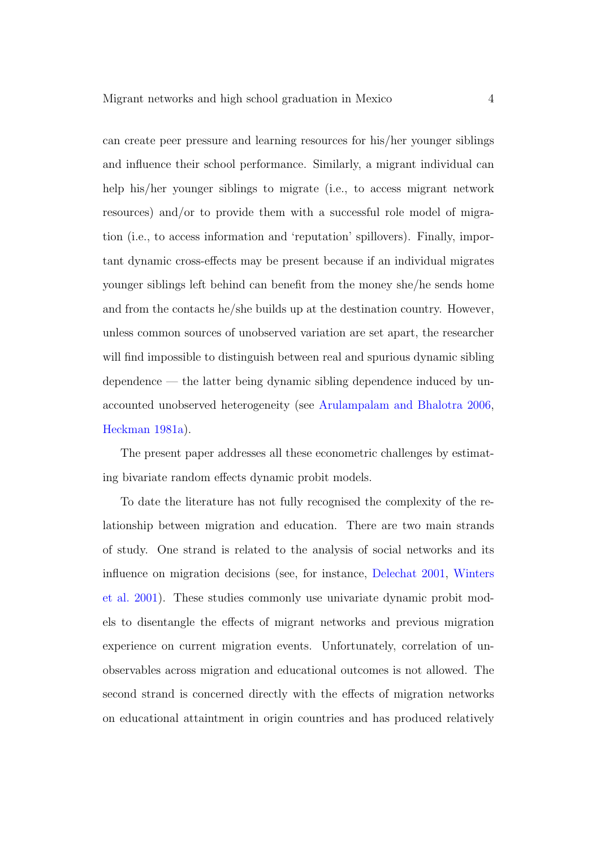can create peer pressure and learning resources for his/her younger siblings and influence their school performance. Similarly, a migrant individual can help his/her younger siblings to migrate (i.e., to access migrant network resources) and/or to provide them with a successful role model of migration (i.e., to access information and 'reputation' spillovers). Finally, important dynamic cross-effects may be present because if an individual migrates younger siblings left behind can benefit from the money she/he sends home and from the contacts he/she builds up at the destination country. However, unless common sources of unobserved variation are set apart, the researcher will find impossible to distinguish between real and spurious dynamic sibling dependence — the latter being dynamic sibling dependence induced by unaccounted unobserved heterogeneity (see [Arulampalam and Bhalotra](#page-26-3) [2006,](#page-26-3) [Heckman](#page-27-1) [1981a\)](#page-27-1).

The present paper addresses all these econometric challenges by estimating bivariate random effects dynamic probit models.

To date the literature has not fully recognised the complexity of the relationship between migration and education. There are two main strands of study. One strand is related to the analysis of social networks and its influence on migration decisions (see, for instance, [Delechat](#page-26-4) [2001,](#page-26-4) [Winters](#page-28-2) [et al.](#page-28-2) [2001\)](#page-28-2). These studies commonly use univariate dynamic probit models to disentangle the effects of migrant networks and previous migration experience on current migration events. Unfortunately, correlation of unobservables across migration and educational outcomes is not allowed. The second strand is concerned directly with the effects of migration networks on educational attaintment in origin countries and has produced relatively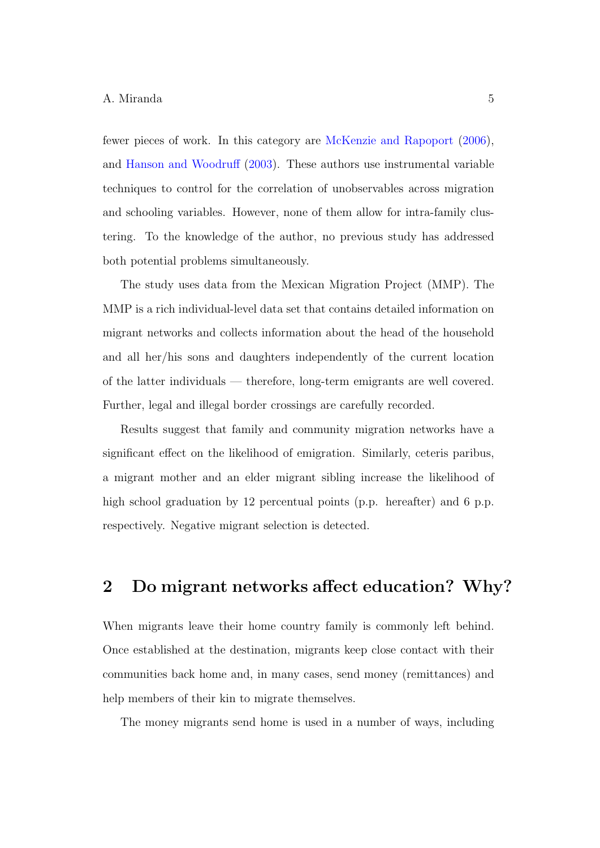fewer pieces of work. In this category are [McKenzie and Rapoport](#page-27-2) [\(2006\)](#page-27-2), and [Hanson and Woodruff](#page-27-3) [\(2003\)](#page-27-3). These authors use instrumental variable techniques to control for the correlation of unobservables across migration and schooling variables. However, none of them allow for intra-family clustering. To the knowledge of the author, no previous study has addressed both potential problems simultaneously.

The study uses data from the Mexican Migration Project (MMP). The MMP is a rich individual-level data set that contains detailed information on migrant networks and collects information about the head of the household and all her/his sons and daughters independently of the current location of the latter individuals — therefore, long-term emigrants are well covered. Further, legal and illegal border crossings are carefully recorded.

Results suggest that family and community migration networks have a significant effect on the likelihood of emigration. Similarly, ceteris paribus, a migrant mother and an elder migrant sibling increase the likelihood of high school graduation by 12 percentual points (p.p. hereafter) and 6 p.p. respectively. Negative migrant selection is detected.

## 2 Do migrant networks affect education? Why?

When migrants leave their home country family is commonly left behind. Once established at the destination, migrants keep close contact with their communities back home and, in many cases, send money (remittances) and help members of their kin to migrate themselves.

The money migrants send home is used in a number of ways, including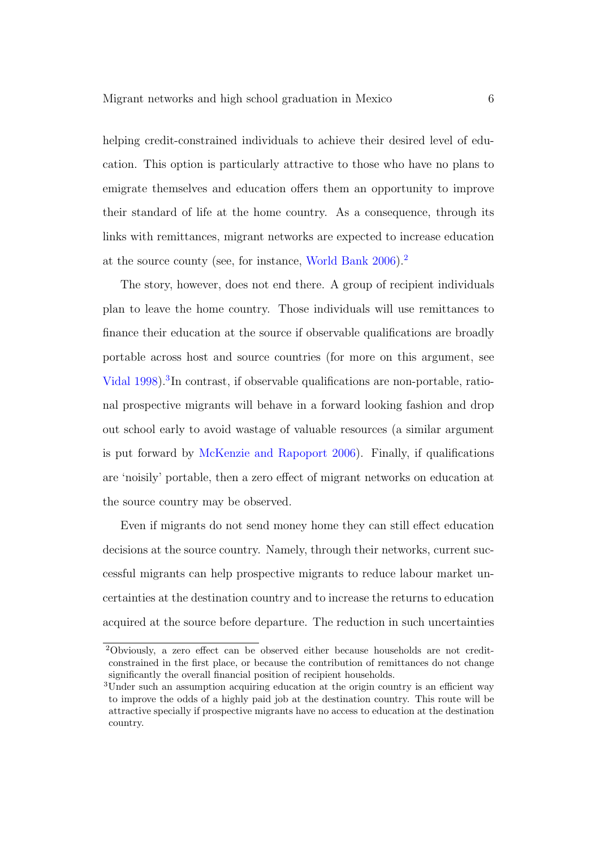helping credit-constrained individuals to achieve their desired level of education. This option is particularly attractive to those who have no plans to emigrate themselves and education offers them an opportunity to improve their standard of life at the home country. As a consequence, through its links with remittances, migrant networks are expected to increase education at the source county (see, for instance, [World Bank](#page-28-1) [2006\)](#page-28-1).[2](#page-5-0)

The story, however, does not end there. A group of recipient individuals plan to leave the home country. Those individuals will use remittances to finance their education at the source if observable qualifications are broadly portable across host and source countries (for more on this argument, see [Vidal](#page-28-3) [1998\)](#page-28-3)[.](#page-5-1)<sup>3</sup>In contrast, if observable qualifications are non-portable, rational prospective migrants will behave in a forward looking fashion and drop out school early to avoid wastage of valuable resources (a similar argument is put forward by [McKenzie and Rapoport](#page-27-2) [2006\)](#page-27-2). Finally, if qualifications are 'noisily' portable, then a zero effect of migrant networks on education at the source country may be observed.

Even if migrants do not send money home they can still effect education decisions at the source country. Namely, through their networks, current successful migrants can help prospective migrants to reduce labour market uncertainties at the destination country and to increase the returns to education acquired at the source before departure. The reduction in such uncertainties

<span id="page-5-0"></span><sup>2</sup>Obviously, a zero effect can be observed either because households are not creditconstrained in the first place, or because the contribution of remittances do not change significantly the overall financial position of recipient households.

<span id="page-5-1"></span><sup>3</sup>Under such an assumption acquiring education at the origin country is an efficient way to improve the odds of a highly paid job at the destination country. This route will be attractive specially if prospective migrants have no access to education at the destination country.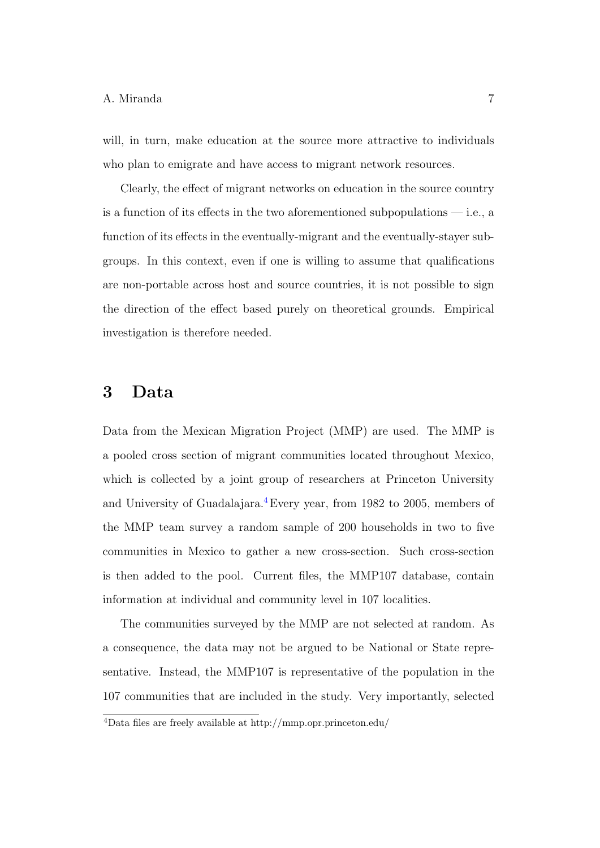will, in turn, make education at the source more attractive to individuals who plan to emigrate and have access to migrant network resources.

Clearly, the effect of migrant networks on education in the source country is a function of its effects in the two aforementioned subpopulations  $-$  i.e., a function of its effects in the eventually-migrant and the eventually-stayer subgroups. In this context, even if one is willing to assume that qualifications are non-portable across host and source countries, it is not possible to sign the direction of the effect based purely on theoretical grounds. Empirical investigation is therefore needed.

## 3 Data

Data from the Mexican Migration Project (MMP) are used. The MMP is a pooled cross section of migrant communities located throughout Mexico, which is collected by a joint group of researchers at Princeton University and University of Guadalajara.[4](#page-6-0)Every year, from 1982 to 2005, members of the MMP team survey a random sample of 200 households in two to five communities in Mexico to gather a new cross-section. Such cross-section is then added to the pool. Current files, the MMP107 database, contain information at individual and community level in 107 localities.

The communities surveyed by the MMP are not selected at random. As a consequence, the data may not be argued to be National or State representative. Instead, the MMP107 is representative of the population in the 107 communities that are included in the study. Very importantly, selected

<span id="page-6-0"></span><sup>4</sup>Data files are freely available at http://mmp.opr.princeton.edu/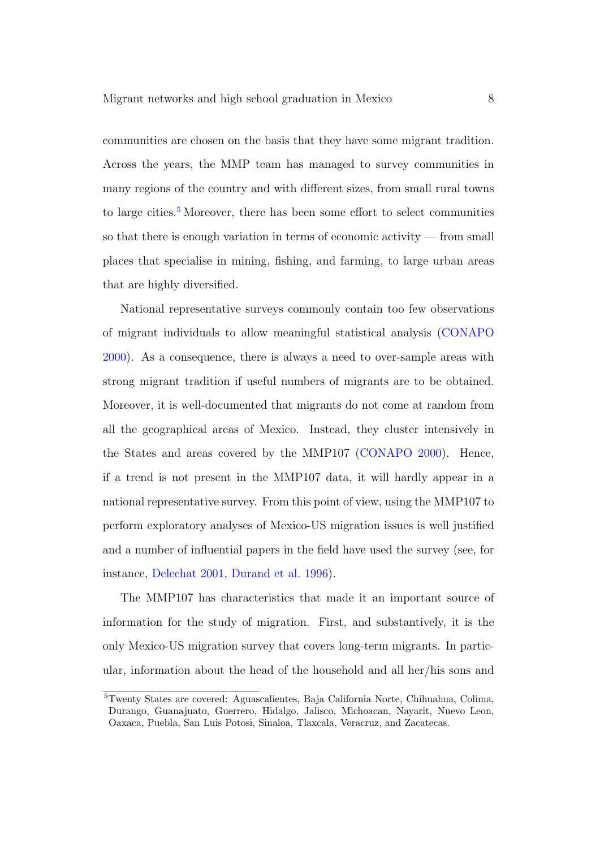communities are chosen on the basis that they have some migrant tradition. Across the years, the MMP team has managed to survey communities in many regions of the country and with different sizes, from small rural towns to large cities[.](#page-7-0)<sup>5</sup> Moreover, there has been some effort to select communities so that there is enough variation in terms of economic activity — from small places that specialise in mining, fishing, and farming, to large urban areas that are highly diversified.

National representative surveys commonly contain too few observations of migrant individuals to allow meaningful statistical analysis [\(CONAPO](#page-26-5) [2000\)](#page-26-5). As a consequence, there is always a need to over-sample areas with strong migrant tradition if useful numbers of migrants are to be obtained. Moreover, it is well-documented that migrants do not come at random from all the geographical areas of Mexico. Instead, they cluster intensively in the States and areas covered by the MMP107 [\(CONAPO](#page-26-5) [2000\)](#page-26-5). Hence, if a trend is not present in the MMP107 data, it will hardly appear in a national representative survey. From this point of view, using the MMP107 to perform exploratory analyses of Mexico-US migration issues is well justified and a number of influential papers in the field have used the survey (see, for instance, [Delechat](#page-26-4) [2001,](#page-26-4) [Durand et al.](#page-26-6) [1996\)](#page-26-6).

The MMP107 has characteristics that made it an important source of information for the study of migration. First, and substantively, it is the only Mexico-US migration survey that covers long-term migrants. In particular, information about the head of the household and all her/his sons and

<span id="page-7-0"></span><sup>5</sup>Twenty States are covered: Aguascalientes, Baja California Norte, Chihuahua, Colima, Durango, Guanajuato, Guerrero, Hidalgo, Jalisco, Michoacan, Nayarit, Nuevo Leon, Oaxaca, Puebla, San Luis Potosi, Sinaloa, Tlaxcala, Veracruz, and Zacatecas.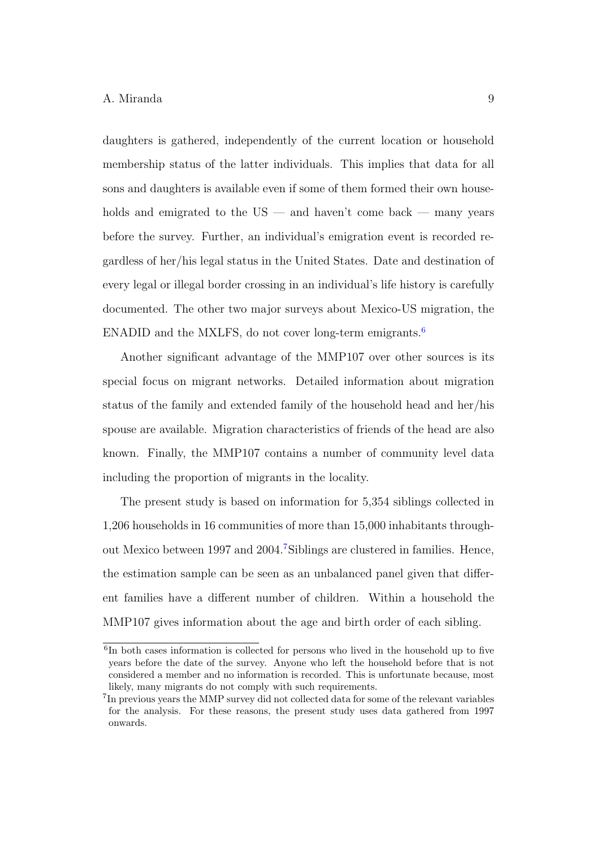daughters is gathered, independently of the current location or household membership status of the latter individuals. This implies that data for all sons and daughters is available even if some of them formed their own households and emigrated to the US — and haven't come back — many years before the survey. Further, an individual's emigration event is recorded regardless of her/his legal status in the United States. Date and destination of every legal or illegal border crossing in an individual's life history is carefully documented. The other two major surveys about Mexico-US migration, the ENADID and the MXLFS, do not cover long-term emigrants[.](#page-8-0)<sup>6</sup>

Another significant advantage of the MMP107 over other sources is its special focus on migrant networks. Detailed information about migration status of the family and extended family of the household head and her/his spouse are available. Migration characteristics of friends of the head are also known. Finally, the MMP107 contains a number of community level data including the proportion of migrants in the locality.

The present study is based on information for 5,354 siblings collected in 1,206 households in 16 communities of more than 15,000 inhabitants throughout Mexico between 1997 and 2004[.](#page-8-1)<sup>7</sup>Siblings are clustered in families. Hence, the estimation sample can be seen as an unbalanced panel given that different families have a different number of children. Within a household the MMP107 gives information about the age and birth order of each sibling.

<span id="page-8-0"></span><sup>6</sup> In both cases information is collected for persons who lived in the household up to five years before the date of the survey. Anyone who left the household before that is not considered a member and no information is recorded. This is unfortunate because, most likely, many migrants do not comply with such requirements.

<span id="page-8-1"></span><sup>&</sup>lt;sup>7</sup>In previous years the MMP survey did not collected data for some of the relevant variables for the analysis. For these reasons, the present study uses data gathered from 1997 onwards.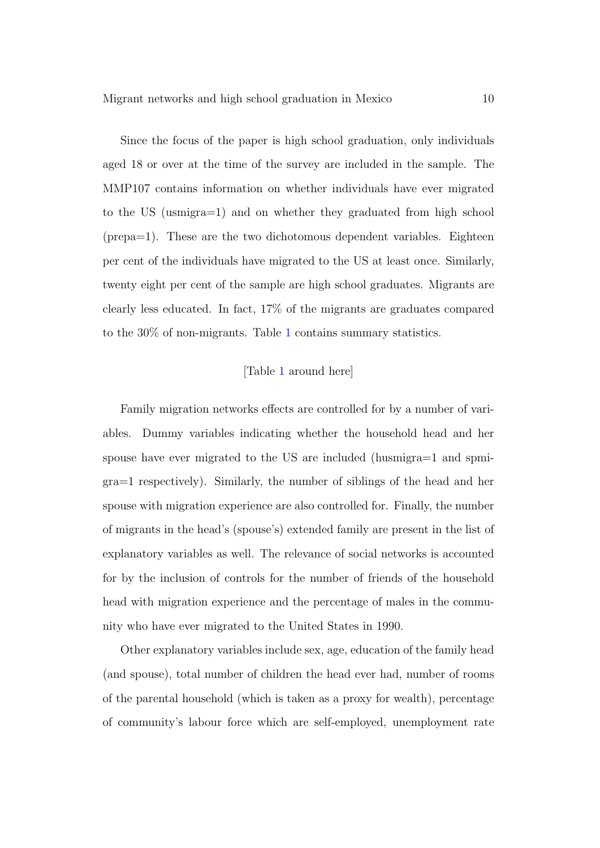Since the focus of the paper is high school graduation, only individuals aged 18 or over at the time of the survey are included in the sample. The MMP107 contains information on whether individuals have ever migrated to the US (usmigra=1) and on whether they graduated from high school (prepa=1). These are the two dichotomous dependent variables. Eighteen per cent of the individuals have migrated to the US at least once. Similarly, twenty eight per cent of the sample are high school graduates. Migrants are clearly less educated. In fact, 17% of the migrants are graduates compared to the 30% of non-migrants. Table [1](#page-24-0) contains summary statistics.

## [Table [1](#page-24-0) around here]

Family migration networks effects are controlled for by a number of variables. Dummy variables indicating whether the household head and her spouse have ever migrated to the US are included (husmigra=1 and spmigra=1 respectively). Similarly, the number of siblings of the head and her spouse with migration experience are also controlled for. Finally, the number of migrants in the head's (spouse's) extended family are present in the list of explanatory variables as well. The relevance of social networks is accounted for by the inclusion of controls for the number of friends of the household head with migration experience and the percentage of males in the community who have ever migrated to the United States in 1990.

Other explanatory variables include sex, age, education of the family head (and spouse), total number of children the head ever had, number of rooms of the parental household (which is taken as a proxy for wealth), percentage of community's labour force which are self-employed, unemployment rate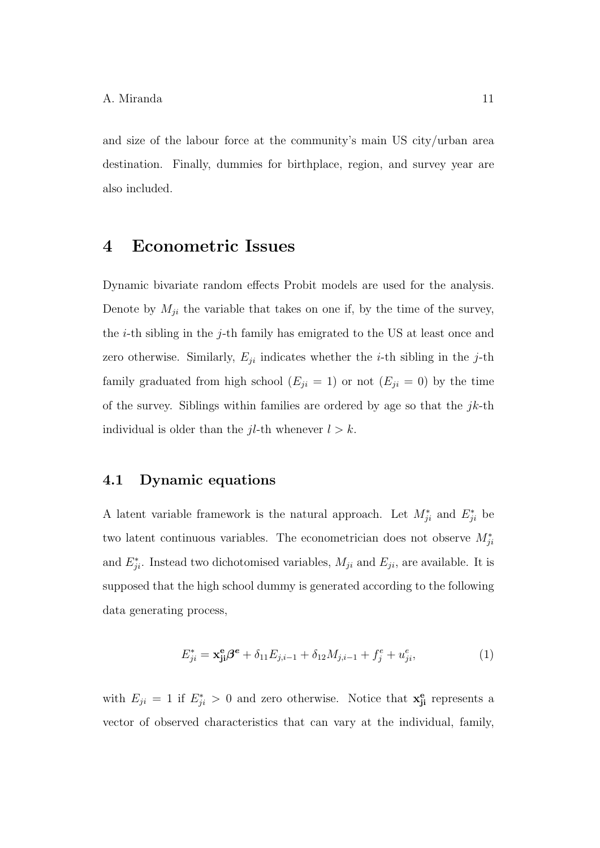and size of the labour force at the community's main US city/urban area destination. Finally, dummies for birthplace, region, and survey year are also included.

## 4 Econometric Issues

Dynamic bivariate random effects Probit models are used for the analysis. Denote by  $M_{ji}$  the variable that takes on one if, by the time of the survey, the *i*-th sibling in the *j*-th family has emigrated to the US at least once and zero otherwise. Similarly,  $E_{ji}$  indicates whether the *i*-th sibling in the *j*-th family graduated from high school  $(E_{ji} = 1)$  or not  $(E_{ji} = 0)$  by the time of the survey. Siblings within families are ordered by age so that the  $jk$ -th individual is older than the  $jl$ -th whenever  $l > k$ .

## 4.1 Dynamic equations

A latent variable framework is the natural approach. Let  $M_{ji}^*$  and  $E_{ji}^*$  be two latent continuous variables. The econometrician does not observe  $M_{ji}^*$ and  $E_{ji}^*$ . Instead two dichotomised variables,  $M_{ji}$  and  $E_{ji}$ , are available. It is supposed that the high school dummy is generated according to the following data generating process,

<span id="page-10-0"></span>
$$
E_{ji}^* = \mathbf{x}_{ji}^{\mathbf{e}} \mathbf{\beta}^{\mathbf{e}} + \delta_{11} E_{j,i-1} + \delta_{12} M_{j,i-1} + f_j^{\mathbf{e}} + u_{ji}^{\mathbf{e}}, \tag{1}
$$

with  $E_{ji} = 1$  if  $E_{ji}^* > 0$  and zero otherwise. Notice that  $\mathbf{x}_{ji}^e$  represents a vector of observed characteristics that can vary at the individual, family,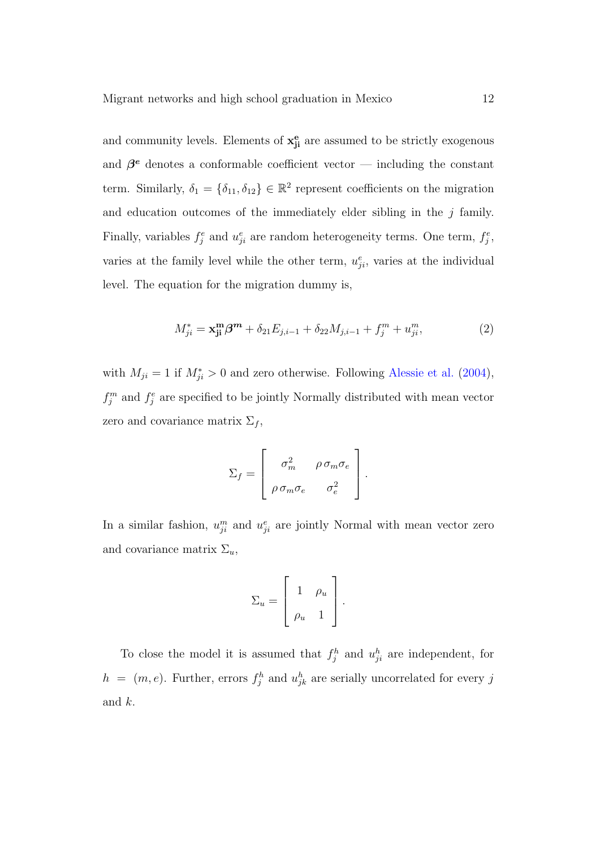and community levels. Elements of  $x_{ji}^e$  are assumed to be strictly exogenous and  $\beta^e$  denotes a conformable coefficient vector — including the constant term. Similarly,  $\delta_1 = \{\delta_{11}, \delta_{12}\} \in \mathbb{R}^2$  represent coefficients on the migration and education outcomes of the immediately elder sibling in the  $j$  family. Finally, variables  $f_j^e$  and  $u_{ji}^e$  are random heterogeneity terms. One term,  $f_j^e$ , varies at the family level while the other term,  $u_{ji}^e$ , varies at the individual level. The equation for the migration dummy is,

<span id="page-11-0"></span>
$$
M_{ji}^* = \mathbf{x}_{ji}^{\mathbf{m}} \boldsymbol{\beta}^{\mathbf{m}} + \delta_{21} E_{j,i-1} + \delta_{22} M_{j,i-1} + f_j^m + u_{ji}^m, \tag{2}
$$

with  $M_{ji} = 1$  if  $M_{ji}^* > 0$  and zero otherwise. Following [Alessie et al.](#page-26-7) [\(2004\)](#page-26-7),  $f_j^m$  and  $f_j^e$  are specified to be jointly Normally distributed with mean vector zero and covariance matrix  $\Sigma_f$ ,

$$
\Sigma_f = \left[ \begin{array}{cc} \sigma_m^2 & \rho \,\sigma_m \sigma_e \\ \rho \,\sigma_m \sigma_e & \sigma_e^2 \end{array} \right].
$$

In a similar fashion,  $u_{ji}^m$  and  $u_{ji}^e$  are jointly Normal with mean vector zero and covariance matrix  $\Sigma_u$ ,

$$
\Sigma_u = \left[ \begin{array}{cc} 1 & \rho_u \\ \rho_u & 1 \end{array} \right].
$$

To close the model it is assumed that  $f_j^h$  and  $u_{ji}^h$  are independent, for  $h = (m, e)$ . Further, errors  $f_j^h$  and  $u_{jk}^h$  are serially uncorrelated for every j and k.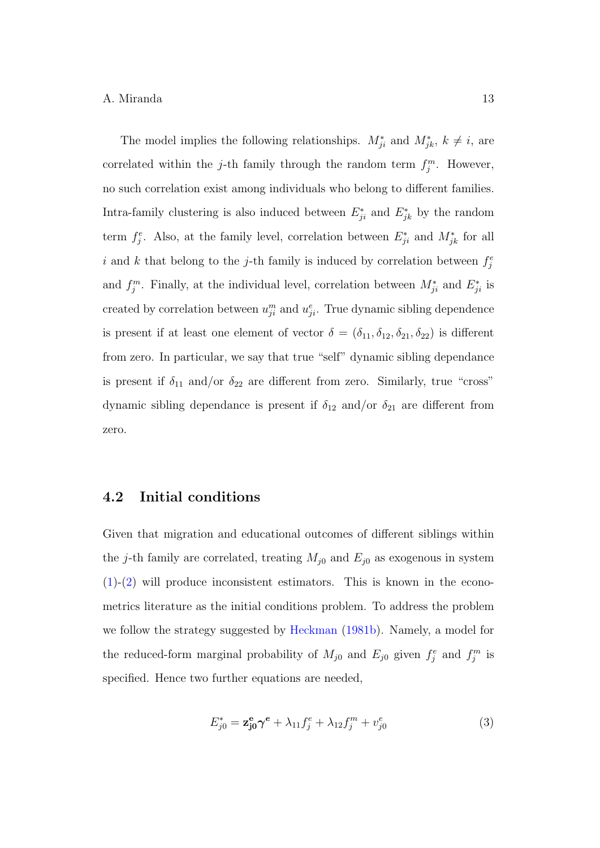The model implies the following relationships.  $M_{ji}^*$  and  $M_{jk}^*$ ,  $k \neq i$ , are correlated within the j-th family through the random term  $f_j^m$ . However, no such correlation exist among individuals who belong to different families. Intra-family clustering is also induced between  $E_{ji}^*$  and  $E_{jk}^*$  by the random term  $f_j^e$ . Also, at the family level, correlation between  $E_{ji}^*$  and  $M_{jk}^*$  for all i and k that belong to the j-th family is induced by correlation between  $f_j^e$ and  $f_j^m$ . Finally, at the individual level, correlation between  $M_{ji}^*$  and  $E_{ji}^*$  is created by correlation between  $u_{ji}^m$  and  $u_{ji}^e$ . True dynamic sibling dependence is present if at least one element of vector  $\delta = (\delta_{11}, \delta_{12}, \delta_{21}, \delta_{22})$  is different from zero. In particular, we say that true "self" dynamic sibling dependance is present if  $\delta_{11}$  and/or  $\delta_{22}$  are different from zero. Similarly, true "cross" dynamic sibling dependance is present if  $\delta_{12}$  and/or  $\delta_{21}$  are different from zero.

## 4.2 Initial conditions

Given that migration and educational outcomes of different siblings within the j-th family are correlated, treating  $M_{j0}$  and  $E_{j0}$  as exogenous in system  $(1)-(2)$  $(1)-(2)$  $(1)-(2)$  will produce inconsistent estimators. This is known in the econometrics literature as the initial conditions problem. To address the problem we follow the strategy suggested by [Heckman](#page-27-4) [\(1981b\)](#page-27-4). Namely, a model for the reduced-form marginal probability of  $M_{j0}$  and  $E_{j0}$  given  $f_j^e$  and  $f_j^m$  is specified. Hence two further equations are needed,

<span id="page-12-0"></span>
$$
E_{j0}^* = \mathbf{z}_{j0}^{\mathbf{e}} \boldsymbol{\gamma}^{\mathbf{e}} + \lambda_{11} f_j^e + \lambda_{12} f_j^m + v_{j0}^e \tag{3}
$$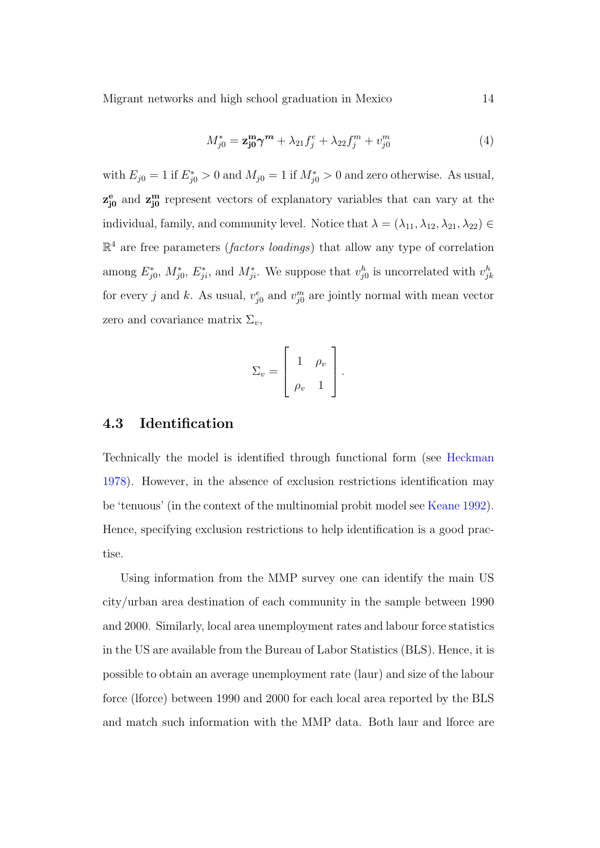Migrant networks and high school graduation in Mexico 14

<span id="page-13-0"></span>
$$
M_{j0}^* = \mathbf{z}_{j0}^{\mathbf{m}} \boldsymbol{\gamma}^{\mathbf{m}} + \lambda_{21} f_j^e + \lambda_{22} f_j^m + v_{j0}^m \tag{4}
$$

with  $E_{j0} = 1$  if  $E_{j0}^* > 0$  and  $M_{j0} = 1$  if  $M_{j0}^* > 0$  and zero otherwise. As usual,  $z_{j0}^e$  and  $z_{j0}^m$  represent vectors of explanatory variables that can vary at the individual, family, and community level. Notice that  $\lambda = (\lambda_{11}, \lambda_{12}, \lambda_{21}, \lambda_{22}) \in$  $\mathbb{R}^4$  are free parameters (*factors loadings*) that allow any type of correlation among  $E_{j0}^*$ ,  $M_{j0}^*$ ,  $E_{ji}^*$ , and  $M_{ji}^*$ . We suppose that  $v_{j0}^h$  is uncorrelated with  $v_{jk}^h$ for every j and k. As usual,  $v_{j0}^e$  and  $v_{j0}^m$  are jointly normal with mean vector zero and covariance matrix  $\Sigma_v$ ,

$$
\Sigma_v = \left[ \begin{array}{cc} 1 & \rho_v \\ \rho_v & 1 \end{array} \right].
$$

### 4.3 Identification

Technically the model is identified through functional form (see [Heckman](#page-27-5) [1978\)](#page-27-5). However, in the absence of exclusion restrictions identification may be 'tenuous' (in the context of the multinomial probit model see [Keane](#page-27-6) [1992\)](#page-27-6). Hence, specifying exclusion restrictions to help identification is a good practise.

Using information from the MMP survey one can identify the main US city/urban area destination of each community in the sample between 1990 and 2000. Similarly, local area unemployment rates and labour force statistics in the US are available from the Bureau of Labor Statistics (BLS). Hence, it is possible to obtain an average unemployment rate (laur) and size of the labour force (lforce) between 1990 and 2000 for each local area reported by the BLS and match such information with the MMP data. Both laur and lforce are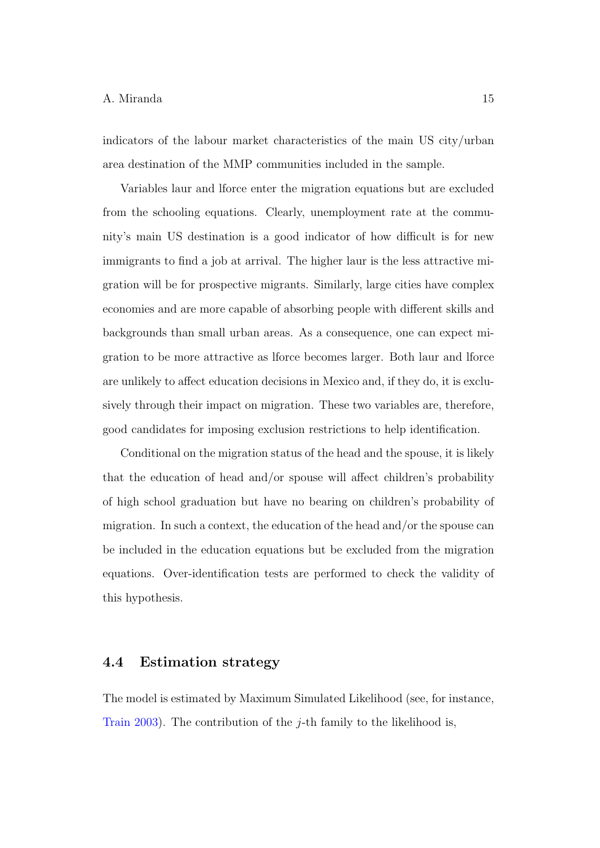indicators of the labour market characteristics of the main US city/urban area destination of the MMP communities included in the sample.

Variables laur and lforce enter the migration equations but are excluded from the schooling equations. Clearly, unemployment rate at the community's main US destination is a good indicator of how difficult is for new immigrants to find a job at arrival. The higher laur is the less attractive migration will be for prospective migrants. Similarly, large cities have complex economies and are more capable of absorbing people with different skills and backgrounds than small urban areas. As a consequence, one can expect migration to be more attractive as lforce becomes larger. Both laur and lforce are unlikely to affect education decisions in Mexico and, if they do, it is exclusively through their impact on migration. These two variables are, therefore, good candidates for imposing exclusion restrictions to help identification.

Conditional on the migration status of the head and the spouse, it is likely that the education of head and/or spouse will affect children's probability of high school graduation but have no bearing on children's probability of migration. In such a context, the education of the head and/or the spouse can be included in the education equations but be excluded from the migration equations. Over-identification tests are performed to check the validity of this hypothesis.

### 4.4 Estimation strategy

The model is estimated by Maximum Simulated Likelihood (see, for instance, [Train](#page-28-4) [2003\)](#page-28-4). The contribution of the *j*-th family to the likelihood is,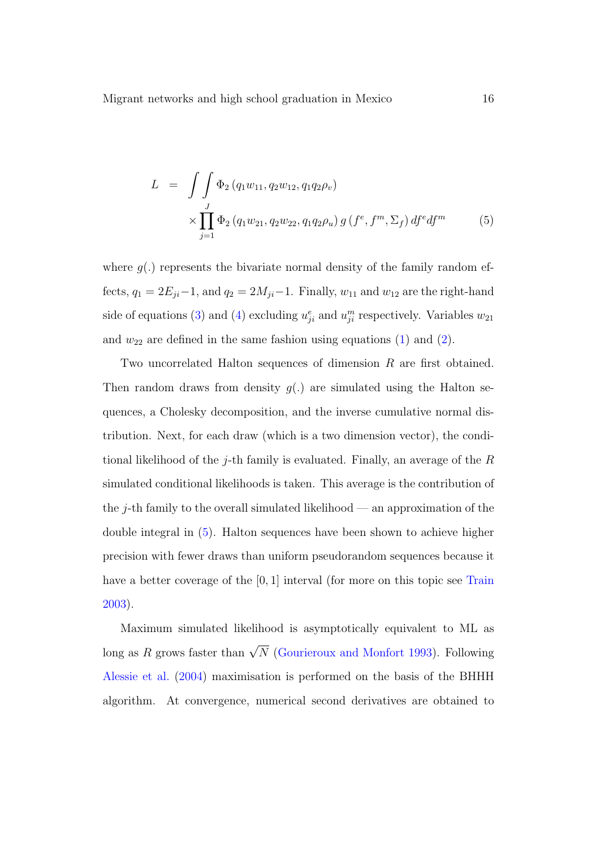<span id="page-15-0"></span>
$$
L = \int \int \Phi_2(q_1 w_{11}, q_2 w_{12}, q_1 q_2 \rho_v) \times \prod_{j=1}^J \Phi_2(q_1 w_{21}, q_2 w_{22}, q_1 q_2 \rho_u) g(f^e, f^m, \Sigma_f) df^e df^m \tag{5}
$$

where  $g(.)$  represents the bivariate normal density of the family random effects,  $q_1 = 2E_{ji} - 1$ , and  $q_2 = 2M_{ji} - 1$ . Finally,  $w_{11}$  and  $w_{12}$  are the right-hand side of equations [\(3\)](#page-12-0) and [\(4\)](#page-13-0) excluding  $u_{ji}^e$  and  $u_{ji}^m$  respectively. Variables  $w_{21}$ and  $w_{22}$  are defined in the same fashion using equations [\(1\)](#page-10-0) and [\(2\)](#page-11-0).

Two uncorrelated Halton sequences of dimension R are first obtained. Then random draws from density  $g(.)$  are simulated using the Halton sequences, a Cholesky decomposition, and the inverse cumulative normal distribution. Next, for each draw (which is a two dimension vector), the conditional likelihood of the j-th family is evaluated. Finally, an average of the  $R$ simulated conditional likelihoods is taken. This average is the contribution of the  $j$ -th family to the overall simulated likelihood — an approximation of the double integral in [\(5\)](#page-15-0). Halton sequences have been shown to achieve higher precision with fewer draws than uniform pseudorandom sequences because it have a better coverage of the [0, 1] interval (for more on this topic see [Train](#page-28-4) [2003\)](#page-28-4).

Maximum simulated likelihood is asymptotically equivalent to ML as long as R grows faster than  $\sqrt{N}$  [\(Gourieroux and Monfort](#page-27-7) [1993\)](#page-27-7). Following [Alessie et al.](#page-26-7) [\(2004\)](#page-26-7) maximisation is performed on the basis of the BHHH algorithm. At convergence, numerical second derivatives are obtained to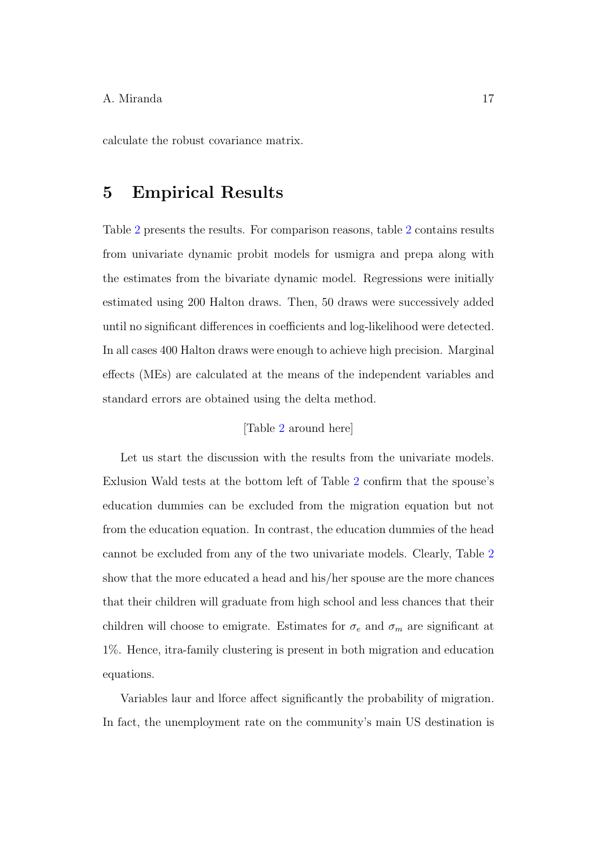calculate the robust covariance matrix.

## 5 Empirical Results

Table [2](#page-25-0) presents the results. For comparison reasons, table [2](#page-25-0) contains results from univariate dynamic probit models for usmigra and prepa along with the estimates from the bivariate dynamic model. Regressions were initially estimated using 200 Halton draws. Then, 50 draws were successively added until no significant differences in coefficients and log-likelihood were detected. In all cases 400 Halton draws were enough to achieve high precision. Marginal effects (MEs) are calculated at the means of the independent variables and standard errors are obtained using the delta method.

## [Table [2](#page-25-0) around here]

Let us start the discussion with the results from the univariate models. Exlusion Wald tests at the bottom left of Table [2](#page-25-0) confirm that the spouse's education dummies can be excluded from the migration equation but not from the education equation. In contrast, the education dummies of the head cannot be excluded from any of the two univariate models. Clearly, Table [2](#page-25-0) show that the more educated a head and his/her spouse are the more chances that their children will graduate from high school and less chances that their children will choose to emigrate. Estimates for  $\sigma_e$  and  $\sigma_m$  are significant at 1%. Hence, itra-family clustering is present in both migration and education equations.

Variables laur and lforce affect significantly the probability of migration. In fact, the unemployment rate on the community's main US destination is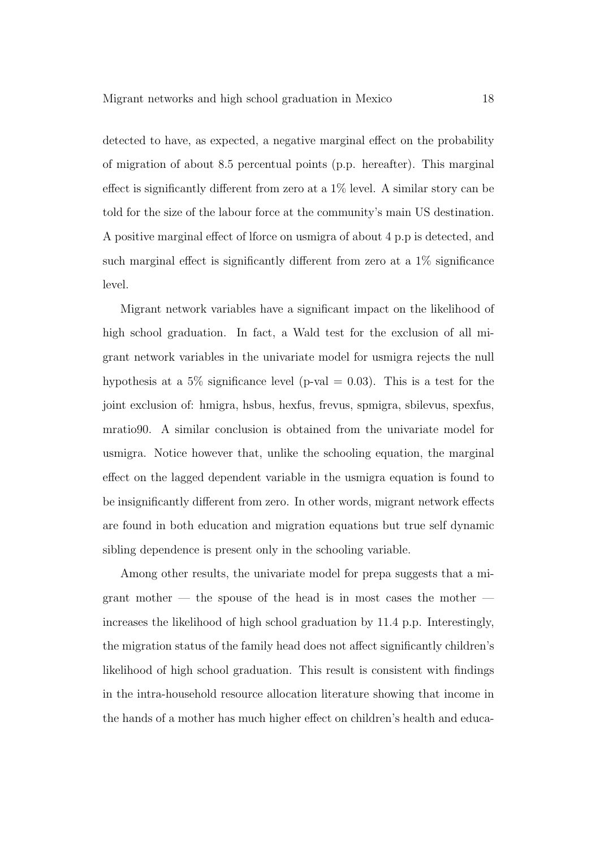detected to have, as expected, a negative marginal effect on the probability of migration of about 8.5 percentual points (p.p. hereafter). This marginal effect is significantly different from zero at a  $1\%$  level. A similar story can be told for the size of the labour force at the community's main US destination. A positive marginal effect of lforce on usmigra of about 4 p.p is detected, and such marginal effect is significantly different from zero at a 1% significance level.

Migrant network variables have a significant impact on the likelihood of high school graduation. In fact, a Wald test for the exclusion of all migrant network variables in the univariate model for usmigra rejects the null hypothesis at a 5% significance level (p-val  $= 0.03$ ). This is a test for the joint exclusion of: hmigra, hsbus, hexfus, frevus, spmigra, sbilevus, spexfus, mratio90. A similar conclusion is obtained from the univariate model for usmigra. Notice however that, unlike the schooling equation, the marginal effect on the lagged dependent variable in the usmigra equation is found to be insignificantly different from zero. In other words, migrant network effects are found in both education and migration equations but true self dynamic sibling dependence is present only in the schooling variable.

Among other results, the univariate model for prepa suggests that a migrant mother  $-$  the spouse of the head is in most cases the mother  $$ increases the likelihood of high school graduation by 11.4 p.p. Interestingly, the migration status of the family head does not affect significantly children's likelihood of high school graduation. This result is consistent with findings in the intra-household resource allocation literature showing that income in the hands of a mother has much higher effect on children's health and educa-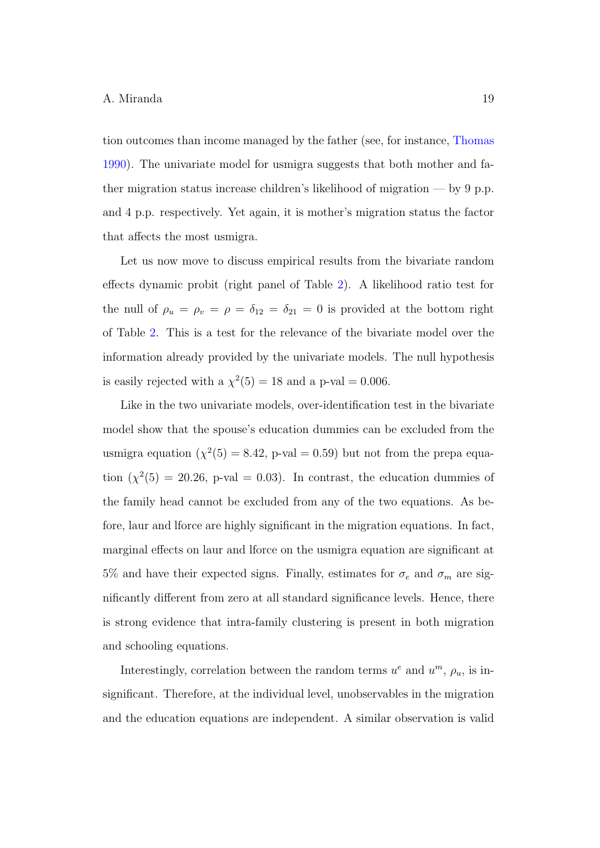tion outcomes than income managed by the father (see, for instance, [Thomas](#page-27-8) [1990\)](#page-27-8). The univariate model for usmigra suggests that both mother and father migration status increase children's likelihood of migration — by 9 p.p. and 4 p.p. respectively. Yet again, it is mother's migration status the factor that affects the most usmigra.

Let us now move to discuss empirical results from the bivariate random effects dynamic probit (right panel of Table [2\)](#page-25-0). A likelihood ratio test for the null of  $\rho_u = \rho_v = \rho = \delta_{12} = \delta_{21} = 0$  is provided at the bottom right of Table [2.](#page-25-0) This is a test for the relevance of the bivariate model over the information already provided by the univariate models. The null hypothesis is easily rejected with a  $\chi^2(5) = 18$  and a p-val = 0.006.

Like in the two univariate models, over-identification test in the bivariate model show that the spouse's education dummies can be excluded from the usmigra equation  $(\chi^2(5) = 8.42, p-value = 0.59)$  but not from the prepa equation  $(\chi^2(5) = 20.26, p-value = 0.03)$ . In contrast, the education dummies of the family head cannot be excluded from any of the two equations. As before, laur and lforce are highly significant in the migration equations. In fact, marginal effects on laur and lforce on the usmigra equation are significant at 5% and have their expected signs. Finally, estimates for  $\sigma_e$  and  $\sigma_m$  are significantly different from zero at all standard significance levels. Hence, there is strong evidence that intra-family clustering is present in both migration and schooling equations.

Interestingly, correlation between the random terms  $u^e$  and  $u^m$ ,  $\rho_u$ , is insignificant. Therefore, at the individual level, unobservables in the migration and the education equations are independent. A similar observation is valid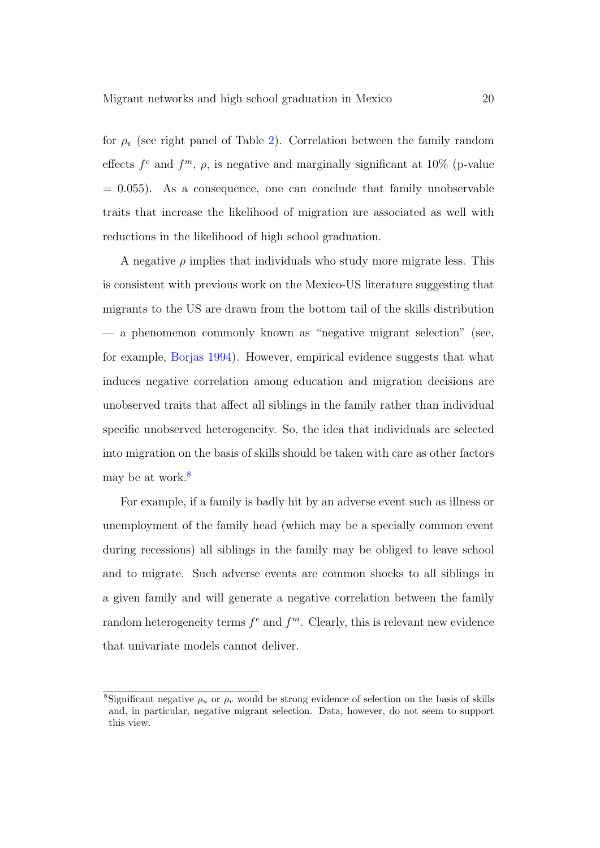for  $\rho_v$  (see right panel of Table [2\)](#page-25-0). Correlation between the family random effects  $f^e$  and  $f^m$ ,  $\rho$ , is negative and marginally significant at 10% (p-value  $= 0.055$ ). As a consequence, one can conclude that family unobservable traits that increase the likelihood of migration are associated as well with reductions in the likelihood of high school graduation.

A negative  $\rho$  implies that individuals who study more migrate less. This is consistent with previous work on the Mexico-US literature suggesting that migrants to the US are drawn from the bottom tail of the skills distribution — a phenomenon commonly known as "negative migrant selection" (see, for example, [Borjas](#page-26-2) [1994\)](#page-26-2). However, empirical evidence suggests that what induces negative correlation among education and migration decisions are unobserved traits that affect all siblings in the family rather than individual specific unobserved heterogeneity. So, the idea that individuals are selected into migration on the basis of skills should be taken with care as other factors may be at work[.](#page-19-0) $\delta$ 

For example, if a family is badly hit by an adverse event such as illness or unemployment of the family head (which may be a specially common event during recessions) all siblings in the family may be obliged to leave school and to migrate. Such adverse events are common shocks to all siblings in a given family and will generate a negative correlation between the family random heterogeneity terms  $f^e$  and  $f^m$ . Clearly, this is relevant new evidence that univariate models cannot deliver.

<span id="page-19-0"></span><sup>&</sup>lt;sup>8</sup>Significant negative  $\rho_u$  or  $\rho_v$  would be strong evidence of selection on the basis of skills and, in particular, negative migrant selection. Data, however, do not seem to support this view.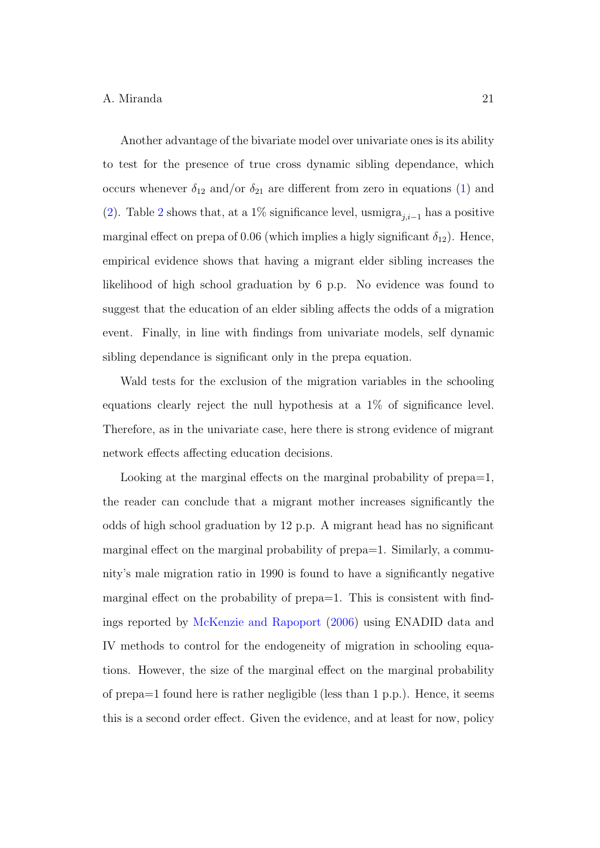Another advantage of the bivariate model over univariate ones is its ability to test for the presence of true cross dynamic sibling dependance, which occurs whenever  $\delta_{12}$  and/or  $\delta_{21}$  are different from zero in equations [\(1\)](#page-10-0) and [\(2\)](#page-11-0). Table [2](#page-25-0) shows that, at a 1% significance level, usmigra<sub>j,i-1</sub> has a positive marginal effect on prepa of 0.06 (which implies a higly significant  $\delta_{12}$ ). Hence, empirical evidence shows that having a migrant elder sibling increases the likelihood of high school graduation by 6 p.p. No evidence was found to suggest that the education of an elder sibling affects the odds of a migration event. Finally, in line with findings from univariate models, self dynamic sibling dependance is significant only in the prepa equation.

Wald tests for the exclusion of the migration variables in the schooling equations clearly reject the null hypothesis at a 1% of significance level. Therefore, as in the univariate case, here there is strong evidence of migrant network effects affecting education decisions.

Looking at the marginal effects on the marginal probability of prepa=1, the reader can conclude that a migrant mother increases significantly the odds of high school graduation by 12 p.p. A migrant head has no significant marginal effect on the marginal probability of prepa=1. Similarly, a community's male migration ratio in 1990 is found to have a significantly negative marginal effect on the probability of prepa=1. This is consistent with findings reported by [McKenzie and Rapoport](#page-27-2) [\(2006\)](#page-27-2) using ENADID data and IV methods to control for the endogeneity of migration in schooling equations. However, the size of the marginal effect on the marginal probability of prepa=1 found here is rather negligible (less than 1 p.p.). Hence, it seems this is a second order effect. Given the evidence, and at least for now, policy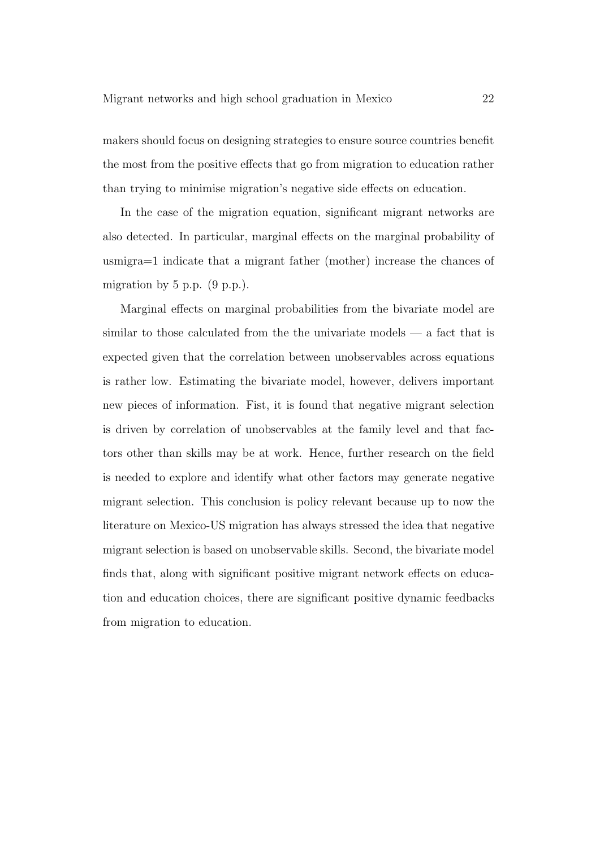makers should focus on designing strategies to ensure source countries benefit the most from the positive effects that go from migration to education rather than trying to minimise migration's negative side effects on education.

In the case of the migration equation, significant migrant networks are also detected. In particular, marginal effects on the marginal probability of usmigra=1 indicate that a migrant father (mother) increase the chances of migration by  $5$  p.p.  $(9 \text{ p.p.})$ .

Marginal effects on marginal probabilities from the bivariate model are similar to those calculated from the the univariate models — a fact that is expected given that the correlation between unobservables across equations is rather low. Estimating the bivariate model, however, delivers important new pieces of information. Fist, it is found that negative migrant selection is driven by correlation of unobservables at the family level and that factors other than skills may be at work. Hence, further research on the field is needed to explore and identify what other factors may generate negative migrant selection. This conclusion is policy relevant because up to now the literature on Mexico-US migration has always stressed the idea that negative migrant selection is based on unobservable skills. Second, the bivariate model finds that, along with significant positive migrant network effects on education and education choices, there are significant positive dynamic feedbacks from migration to education.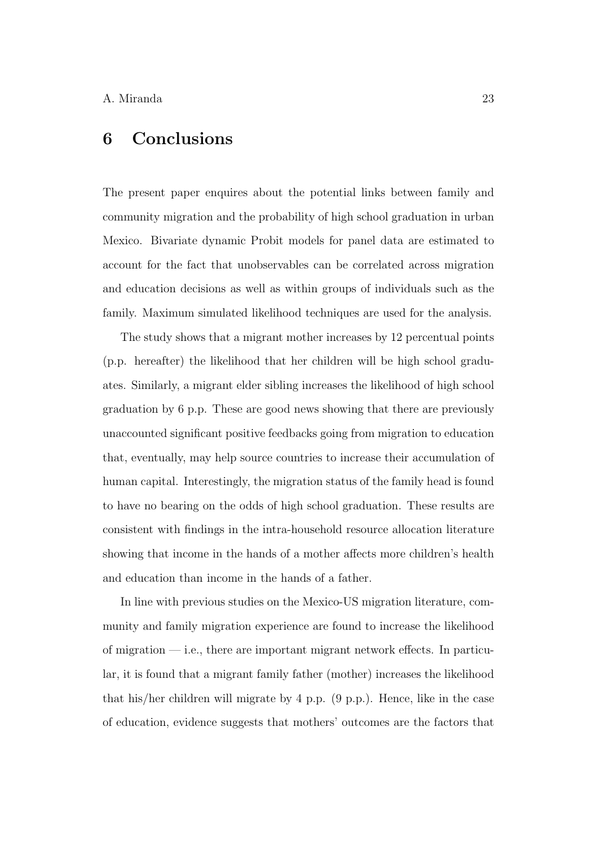## 6 Conclusions

The present paper enquires about the potential links between family and community migration and the probability of high school graduation in urban Mexico. Bivariate dynamic Probit models for panel data are estimated to account for the fact that unobservables can be correlated across migration and education decisions as well as within groups of individuals such as the family. Maximum simulated likelihood techniques are used for the analysis.

The study shows that a migrant mother increases by 12 percentual points (p.p. hereafter) the likelihood that her children will be high school graduates. Similarly, a migrant elder sibling increases the likelihood of high school graduation by 6 p.p. These are good news showing that there are previously unaccounted significant positive feedbacks going from migration to education that, eventually, may help source countries to increase their accumulation of human capital. Interestingly, the migration status of the family head is found to have no bearing on the odds of high school graduation. These results are consistent with findings in the intra-household resource allocation literature showing that income in the hands of a mother affects more children's health and education than income in the hands of a father.

In line with previous studies on the Mexico-US migration literature, community and family migration experience are found to increase the likelihood of migration — i.e., there are important migrant network effects. In particular, it is found that a migrant family father (mother) increases the likelihood that his/her children will migrate by 4 p.p. (9 p.p.). Hence, like in the case of education, evidence suggests that mothers' outcomes are the factors that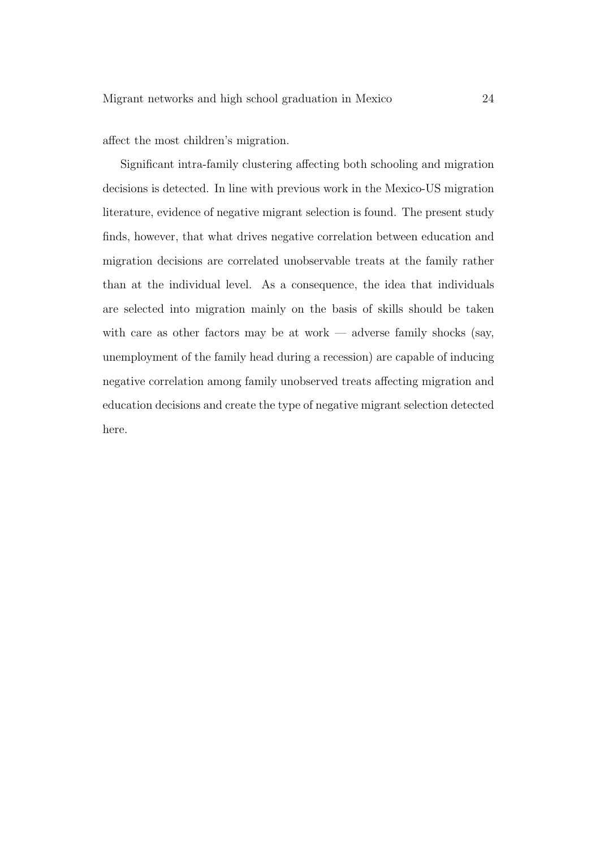affect the most children's migration.

Significant intra-family clustering affecting both schooling and migration decisions is detected. In line with previous work in the Mexico-US migration literature, evidence of negative migrant selection is found. The present study finds, however, that what drives negative correlation between education and migration decisions are correlated unobservable treats at the family rather than at the individual level. As a consequence, the idea that individuals are selected into migration mainly on the basis of skills should be taken with care as other factors may be at work — adverse family shocks (say, unemployment of the family head during a recession) are capable of inducing negative correlation among family unobserved treats affecting migration and education decisions and create the type of negative migrant selection detected here.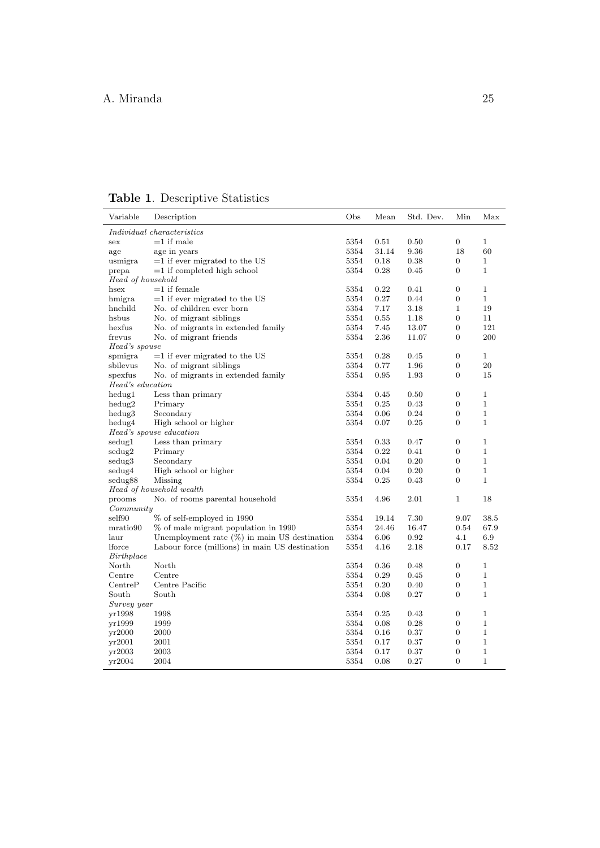<span id="page-24-0"></span>Table 1. Descriptive Statistics

| Variable                                                                     | Description                                     | Obs  | Mean  | Std. Dev. | Min              | Max          |  |  |  |  |  |
|------------------------------------------------------------------------------|-------------------------------------------------|------|-------|-----------|------------------|--------------|--|--|--|--|--|
| <i>Individual characteristics</i>                                            |                                                 |      |       |           |                  |              |  |  |  |  |  |
| sex                                                                          | $=1$ if male                                    | 5354 | 0.51  | 0.50      | $\overline{0}$   | $\mathbf{1}$ |  |  |  |  |  |
| age                                                                          | age in years                                    | 5354 | 31.14 | 9.36      | 18               | 60           |  |  |  |  |  |
| usmigra                                                                      | $=1$ if ever migrated to the US                 | 5354 | 0.18  | 0.38      | $\boldsymbol{0}$ | $\mathbf{1}$ |  |  |  |  |  |
| prepa                                                                        | $=1$ if completed high school                   | 5354 | 0.28  | 0.45      | $\boldsymbol{0}$ | $\mathbf 1$  |  |  |  |  |  |
| Head of household                                                            |                                                 |      |       |           |                  |              |  |  |  |  |  |
| hsex                                                                         | $=1$ if female                                  | 5354 | 0.22  | 0.41      | $\boldsymbol{0}$ | $\mathbf{1}$ |  |  |  |  |  |
| hmigra                                                                       | $=1$ if ever migrated to the US                 | 5354 | 0.27  | 0.44      | $\mathbf{0}$     | $\mathbf{1}$ |  |  |  |  |  |
| hnchild                                                                      | No. of children ever born                       | 5354 | 7.17  | 3.18      | $\mathbf{1}$     | 19           |  |  |  |  |  |
| hsbus                                                                        | No. of migrant siblings                         | 5354 | 0.55  | 1.18      | $\boldsymbol{0}$ | 11           |  |  |  |  |  |
| hexfus                                                                       | No. of migrants in extended family              | 5354 | 7.45  | 13.07     | $\mathbf{0}$     | 121          |  |  |  |  |  |
| frevus                                                                       | No. of migrant friends                          | 5354 | 2.36  | 11.07     | $\mathbf{0}$     | 200          |  |  |  |  |  |
| Head's spouse                                                                |                                                 |      |       |           |                  |              |  |  |  |  |  |
| spmigra                                                                      | $=1$ if ever migrated to the US                 | 5354 | 0.28  | 0.45      | 0                | $\mathbf 1$  |  |  |  |  |  |
| sbilevus                                                                     | No. of migrant siblings                         | 5354 | 0.77  | 1.96      | $\boldsymbol{0}$ | 20           |  |  |  |  |  |
| spexfus                                                                      | No. of migrants in extended family              | 5354 | 0.95  | 1.93      | $\mathbf{0}$     | 15           |  |  |  |  |  |
| Head's education                                                             |                                                 |      |       |           |                  |              |  |  |  |  |  |
| hedug1                                                                       | Less than primary                               | 5354 | 0.45  | 0.50      | $\boldsymbol{0}$ | $\mathbf{1}$ |  |  |  |  |  |
| $hedu$ g $2$                                                                 | Primary                                         | 5354 | 0.25  | 0.43      | $\boldsymbol{0}$ | $\mathbf{1}$ |  |  |  |  |  |
| hedug3                                                                       | Secondary                                       | 5354 | 0.06  | 0.24      | $\boldsymbol{0}$ | $\mathbf 1$  |  |  |  |  |  |
| hedug4                                                                       | High school or higher                           | 5354 | 0.07  | 0.25      | $\mathbf{0}$     | $\mathbf 1$  |  |  |  |  |  |
|                                                                              | Head's spouse education                         |      |       |           |                  |              |  |  |  |  |  |
| sedug1                                                                       | Less than primary                               | 5354 | 0.33  | 0.47      | $\mathbf{0}$     | $\mathbf 1$  |  |  |  |  |  |
| sedug2                                                                       | Primary                                         | 5354 | 0.22  | 0.41      | $\boldsymbol{0}$ | $\mathbf{1}$ |  |  |  |  |  |
| sedug3                                                                       | Secondary                                       | 5354 | 0.04  | 0.20      | $\mathbf{0}$     | $\mathbf 1$  |  |  |  |  |  |
| sedug4                                                                       | High school or higher                           | 5354 | 0.04  | 0.20      | $\mathbf{0}$     | $\mathbf{1}$ |  |  |  |  |  |
| sedug88                                                                      | Missing                                         | 5354 | 0.25  | 0.43      | $\mathbf{0}$     | $\mathbf{1}$ |  |  |  |  |  |
| Head of household wealth                                                     |                                                 |      |       |           |                  |              |  |  |  |  |  |
| 5354<br>4.96<br>2.01<br>18<br>No. of rooms parental household<br>1<br>prooms |                                                 |      |       |           |                  |              |  |  |  |  |  |
| Commuty                                                                      |                                                 |      |       |           |                  |              |  |  |  |  |  |
| self90                                                                       | % of self-employed in 1990                      | 5354 | 19.14 | 7.30      | 9.07             | 38.5         |  |  |  |  |  |
| mratio90                                                                     | % of male migrant population in 1990            | 5354 | 24.46 | 16.47     | 0.54             | 67.9         |  |  |  |  |  |
| laur                                                                         | Unemployment rate $(\%)$ in main US destination | 5354 | 6.06  | 0.92      | 4.1              | 6.9          |  |  |  |  |  |
| lforce                                                                       | Labour force (millions) in main US destination  | 5354 | 4.16  | 2.18      | 0.17             | 8.52         |  |  |  |  |  |
| Birthplace                                                                   |                                                 |      |       |           |                  |              |  |  |  |  |  |
| North                                                                        | North                                           | 5354 | 0.36  | 0.48      | $\boldsymbol{0}$ | 1            |  |  |  |  |  |
| Centre                                                                       | Centre                                          | 5354 | 0.29  | 0.45      | $\boldsymbol{0}$ | $\mathbf{1}$ |  |  |  |  |  |
| CentreP                                                                      | Centre Pacific                                  | 5354 | 0.20  | 0.40      | $\boldsymbol{0}$ | $\mathbf{1}$ |  |  |  |  |  |
| South                                                                        | South                                           | 5354 | 0.08  | 0.27      | $\mathbf{0}$     | $\mathbf{1}$ |  |  |  |  |  |
| Survey year                                                                  |                                                 |      |       |           |                  |              |  |  |  |  |  |
| yr1998                                                                       | 1998                                            | 5354 | 0.25  | 0.43      | $\mathbf{0}$     | $\mathbf{1}$ |  |  |  |  |  |
| yr1999                                                                       | 1999                                            | 5354 | 0.08  | 0.28      | $\boldsymbol{0}$ | $\mathbf{1}$ |  |  |  |  |  |
| yr2000                                                                       | 2000                                            | 5354 | 0.16  | 0.37      | $\mathbf{0}$     | $\mathbf{1}$ |  |  |  |  |  |
| yr2001                                                                       | 2001                                            | 5354 | 0.17  | 0.37      | $\overline{0}$   | $\mathbf{1}$ |  |  |  |  |  |
| yr2003                                                                       | 2003                                            | 5354 | 0.17  | 0.37      | $\mathbf{0}$     | 1            |  |  |  |  |  |
| vr2004                                                                       | 2004                                            | 5354 | 0.08  | 0.27      | $\overline{0}$   | $\mathbf{1}$ |  |  |  |  |  |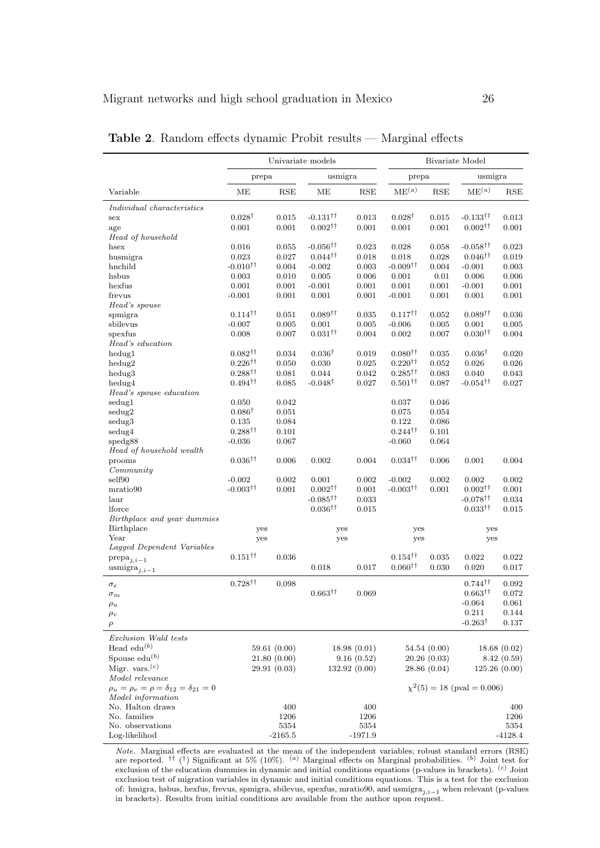|                                                          | Univariate models                        |           |                                          | Bivariate Model |                           |                      |                                          |            |
|----------------------------------------------------------|------------------------------------------|-----------|------------------------------------------|-----------------|---------------------------|----------------------|------------------------------------------|------------|
|                                                          | prepa                                    |           | usmigra                                  |                 | prepa                     |                      | usmigra                                  |            |
| Variable                                                 | МE                                       | RSE       | MЕ                                       | RSE             | ME <sup>(a)</sup>         | $\operatorname{RSE}$ | ME <sup>(a)</sup>                        | <b>RSE</b> |
| Individual characteristics                               |                                          |           |                                          |                 |                           |                      |                                          |            |
| sex                                                      | $0.028^{\dagger}$                        | 0.015     | $-0.131$ <sup>††</sup>                   | 0.013           | $0.028^{\dagger}$         | 0.015                | $-0.133^{\dagger\dagger}$                | 0.013      |
| age                                                      | 0.001                                    | 0.001     | $0.002$ <sup><math>\dagger</math>†</sup> | 0.001           | 0.001                     | 0.001                | $0.002^{\dagger\dagger}$                 | 0.001      |
| Head of household                                        |                                          |           |                                          |                 |                           |                      |                                          |            |
| hsex                                                     | 0.016                                    | 0.055     | $-0.056$ <sup>††</sup>                   | 0.023           | 0.028                     | 0.058                | $-0.058$ <sup>††</sup>                   | 0.023      |
| husmigra                                                 | 0.023                                    | 0.027     | $0.044$ <sup>††</sup>                    | 0.018           | 0.018                     | 0.028                | $0.046^{\dagger\dagger}$                 | 0.019      |
| hnchild                                                  | $-0.010^{\dagger\dagger}$                | 0.004     | $-0.002$                                 | 0.003           | $-0.009^{\dagger\dagger}$ | 0.004                | $-0.001$                                 | 0.003      |
| hsbus                                                    | 0.003                                    | 0.010     | 0.005                                    | 0.006           | 0.001                     | 0.01                 | 0.006                                    | 0.006      |
| hexfus                                                   | 0.001                                    | 0.001     | $-0.001$                                 | 0.001           | 0.001                     | 0.001                | $-0.001$                                 | 0.001      |
| frevus                                                   | $-0.001$                                 | 0.001     | 0.001                                    | 0.001           | $-0.001$                  | 0.001                | 0.001                                    | 0.001      |
| Head's spouse                                            |                                          |           |                                          |                 |                           |                      |                                          |            |
| spmigra                                                  | $0.114^{\dagger\dagger}$                 | 0.051     | $0.089$ <sup><math>\dagger</math>†</sup> | 0.035           | $0.117^{\dagger\dagger}$  | 0.052                | $0.089^{\dagger\dagger}$                 | 0.036      |
| sbilevus                                                 | $-0.007$                                 | 0.005     | 0.001                                    | 0.005           | $-0.006$                  | 0.005                | 0.001                                    | 0.005      |
| spexfus                                                  | 0.008                                    | 0.007     | $0.031$ <sup>††</sup>                    | 0.004           | 0.002                     | 0.007                | $0.030^{\dagger\dagger}$                 | 0.004      |
| Head's education                                         |                                          |           |                                          |                 |                           |                      |                                          |            |
| hedug1                                                   | $0.082^{\dagger\dagger}$                 | 0.034     | $0.036^{\dagger}$                        | 0.019           | $0.080^{\dagger\dagger}$  | 0.035                | $0.036^{\dagger}$                        | 0.020      |
| hedug2                                                   | $0.226^{\dagger\dagger}$                 | 0.050     | 0.030                                    | 0.025           | $0.220^{\dagger\dagger}$  | 0.052                | 0.026                                    | 0.026      |
| hedug3                                                   | $0.288^{\dagger\dagger}$                 | 0.081     | 0.044                                    | 0.042           | $0.285^{\dagger\dagger}$  | 0.083                | 0.040                                    | 0.043      |
| hedug4                                                   | $0.494^{\dagger\dagger}$                 | 0.085     | $-0.048^{\dagger}$                       | 0.027           | $0.501^{\dagger\dagger}$  | 0.087                | $-0.054^{\dagger\dagger}$                | 0.027      |
| Head's spouse education                                  |                                          |           |                                          |                 |                           |                      |                                          |            |
| sedug1                                                   | 0.050                                    | 0.042     |                                          |                 | 0.037                     | 0.046                |                                          |            |
| sedug2                                                   | $0.086^{\dagger}$                        | 0.051     |                                          |                 | 0.075                     | 0.054                |                                          |            |
| sedug3                                                   | 0.135                                    | 0.084     |                                          |                 | 0.122                     | 0.086                |                                          |            |
| sedug4                                                   | $0.288$ <sup><math>\dagger</math>†</sup> | 0.101     |                                          |                 | $0.244$ <sup>††</sup>     | 0.101                |                                          |            |
| spedg88                                                  | $-0.036$                                 | 0.067     |                                          |                 | $-0.060$                  | 0.064                |                                          |            |
| Head of household wealth                                 |                                          |           |                                          |                 |                           |                      |                                          |            |
| prooms                                                   | $0.036^{\dagger\dagger}$                 | 0.006     | 0.002                                    | 0.004           | $0.034^{\dagger\dagger}$  | 0.006                | 0.001                                    | 0.004      |
| Commuty                                                  |                                          |           |                                          |                 |                           |                      |                                          |            |
| self90                                                   | $-0.002$                                 | 0.002     | 0.001                                    | 0.002           | $-0.002$                  | 0.002                | 0.002                                    | 0.002      |
| mratio90                                                 | $-0.003^{\dagger\dagger}$                | 0.001     | $0.002^{\dagger\dagger}$                 | 0.001           | $-0.003^{\dagger\dagger}$ | 0.001                | $0.002^{\dagger\dagger}$                 | 0.001      |
| laur                                                     |                                          |           | $-0.085^{\dagger\dagger}$                | 0.033           |                           |                      | $-0.078^{\dagger\dagger}$                | 0.034      |
| lforce                                                   |                                          |           | $0.036$ <sup>††</sup>                    | 0.015           |                           |                      | $0.033^{\dagger\dagger}$                 | 0.015      |
| Birthplace and year dummies                              |                                          |           |                                          |                 |                           |                      |                                          |            |
| <b>Birthplace</b>                                        | yes                                      |           | yes                                      |                 | yes                       |                      | yes                                      |            |
| Year                                                     | yes                                      |           | yes                                      |                 | yes                       |                      | yes                                      |            |
| Lagged Dependent Variables                               |                                          |           |                                          |                 |                           |                      |                                          |            |
| $prepa_{j,i-1}$                                          | $0.151$ <sup>††</sup>                    | 0.036     |                                          |                 | $0.154^{\dagger\dagger}$  | 0.035                | 0.022                                    | 0.022      |
| $usingra_{j,i-1}$                                        |                                          |           | 0.018                                    | 0.017           | $0.060^{\dagger\dagger}$  | 0.030                | 0.020                                    | 0.017      |
|                                                          | $0.728$ <sup>††</sup>                    | 0.098     |                                          |                 |                           |                      | $0.744$ <sup>††</sup>                    | 0.092      |
| $\sigma_e$                                               |                                          |           | $0.663^{\dagger\dagger}$                 | 0.069           |                           |                      | $0.663^{\dagger\dagger}$                 | 0.072      |
| $\sigma_m$                                               |                                          |           |                                          |                 |                           |                      | $-0.064$                                 | 0.061      |
| $\rho_u$                                                 |                                          |           |                                          |                 |                           |                      | 0.211                                    | 0.144      |
| $\rho_v$                                                 |                                          |           |                                          |                 |                           |                      | $-0.263^{\dagger}$                       | 0.137      |
| $\rho$                                                   |                                          |           |                                          |                 |                           |                      |                                          |            |
| Exclusion Wald tests                                     |                                          |           |                                          |                 |                           |                      |                                          |            |
| Head $edu^{(b)}$                                         | 59.61 (0.00)                             |           | 18.98(0.01)                              |                 | 54.54 (0.00)              |                      | 18.68(0.02)                              |            |
| Spouse $edu^{(b)}$                                       | 21.80(0.00)                              |           | 9.16(0.52)                               |                 | 20.26(0.03)               |                      | 8.42 (0.59)                              |            |
| Migr. vars. $(c)$                                        | 29.91 (0.03)                             |           | 132.92(0.00)                             |                 | 28.86(0.04)               |                      | 125.26(0.00)                             |            |
| Model relevance                                          |                                          |           |                                          |                 |                           |                      |                                          |            |
| $\rho_u = \rho_v = \rho = \delta_{12} = \delta_{21} = 0$ |                                          |           |                                          |                 |                           |                      | $\chi^2(5) = 18 \text{ (pval } = 0.006)$ |            |
| Model information                                        |                                          |           |                                          |                 |                           |                      |                                          |            |
| No. Halton draws                                         |                                          | 400       |                                          | 400             |                           |                      |                                          | 400        |
| No. families                                             |                                          | 1206      |                                          | 1206            |                           |                      |                                          | 1206       |
| No. observations                                         |                                          | 5354      |                                          | 5354            |                           |                      |                                          | 5354       |
| Log-likelihod                                            |                                          | $-2165.5$ |                                          | -1971.9         |                           |                      |                                          | $-4128.4$  |

<span id="page-25-0"></span>Table 2. Random effects dynamic Probit results — Marginal effects

Note. Marginal effects are evaluated at the mean of the independent variables; robust standard errors (RSE) are reported. <sup>††</sup> (†) Significant at 5% (10%). <sup>(a)</sup> Marginal effects on Marginal probabilities. <sup>(b)</sup> Joint test for exclusion of the education dummies in dynamic and initial conditions equations (p-values in brackets). <sup>(c)</sup> Joint exclusion test of migration variables in dynamic and initial conditions equations. This is a test for the exclusion of: hmigra, hsbus, hexfus, frevus, spmigra, sbilevus, spexfus, mratio90, and usmigra<sub>j,i-1</sub> when relevant (p-values in brackets). Results from initial conditions are available from the author upon request.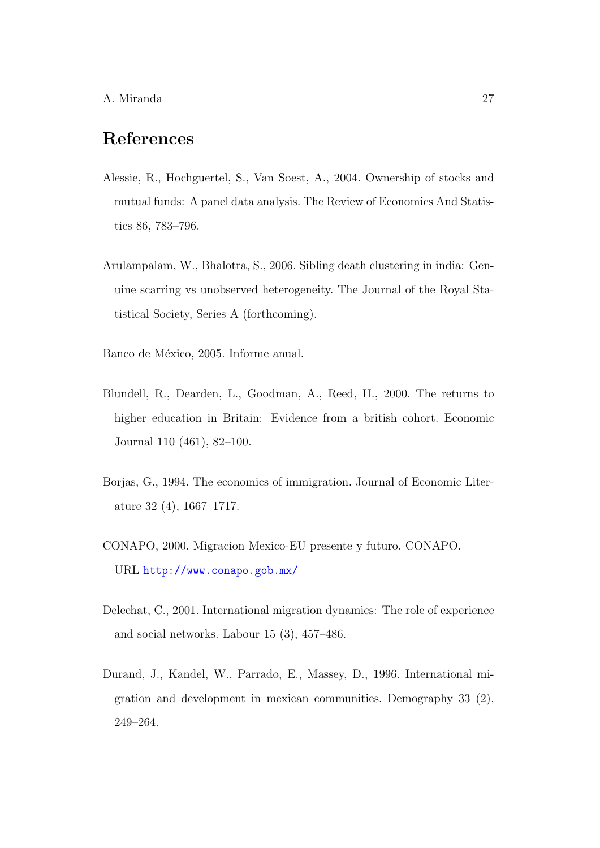## References

- <span id="page-26-7"></span>Alessie, R., Hochguertel, S., Van Soest, A., 2004. Ownership of stocks and mutual funds: A panel data analysis. The Review of Economics And Statistics 86, 783–796.
- <span id="page-26-3"></span>Arulampalam, W., Bhalotra, S., 2006. Sibling death clustering in india: Genuine scarring vs unobserved heterogeneity. The Journal of the Royal Statistical Society, Series A (forthcoming).
- <span id="page-26-0"></span>Banco de México, 2005. Informe anual.
- <span id="page-26-1"></span>Blundell, R., Dearden, L., Goodman, A., Reed, H., 2000. The returns to higher education in Britain: Evidence from a british cohort. Economic Journal 110 (461), 82–100.
- <span id="page-26-2"></span>Borjas, G., 1994. The economics of immigration. Journal of Economic Literature 32 (4), 1667–1717.
- <span id="page-26-5"></span>CONAPO, 2000. Migracion Mexico-EU presente y futuro. CONAPO. URL <http://www.conapo.gob.mx/>
- <span id="page-26-4"></span>Delechat, C., 2001. International migration dynamics: The role of experience and social networks. Labour 15 (3), 457–486.
- <span id="page-26-6"></span>Durand, J., Kandel, W., Parrado, E., Massey, D., 1996. International migration and development in mexican communities. Demography 33 (2), 249–264.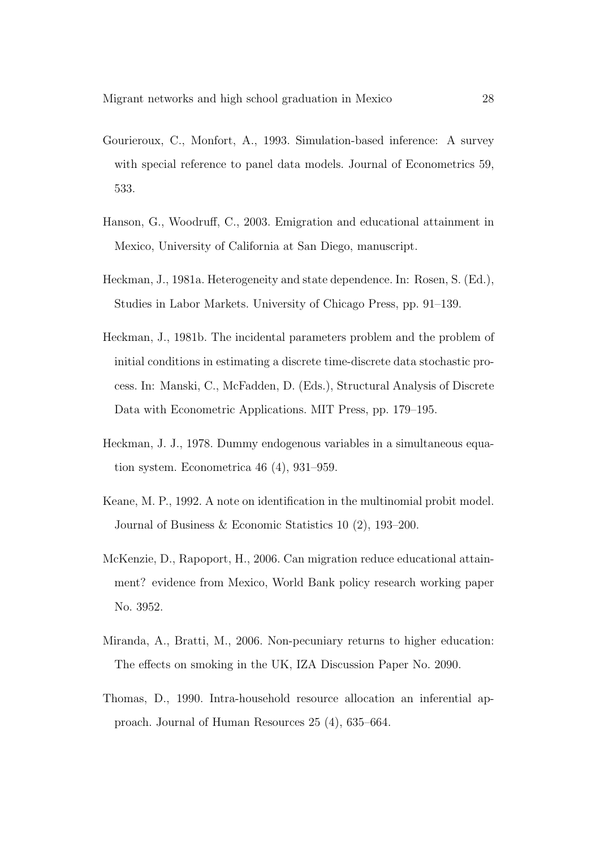- <span id="page-27-7"></span>Gourieroux, C., Monfort, A., 1993. Simulation-based inference: A survey with special reference to panel data models. Journal of Econometrics 59, 533.
- <span id="page-27-3"></span>Hanson, G., Woodruff, C., 2003. Emigration and educational attainment in Mexico, University of California at San Diego, manuscript.
- <span id="page-27-1"></span>Heckman, J., 1981a. Heterogeneity and state dependence. In: Rosen, S. (Ed.), Studies in Labor Markets. University of Chicago Press, pp. 91–139.
- <span id="page-27-4"></span>Heckman, J., 1981b. The incidental parameters problem and the problem of initial conditions in estimating a discrete time-discrete data stochastic process. In: Manski, C., McFadden, D. (Eds.), Structural Analysis of Discrete Data with Econometric Applications. MIT Press, pp. 179–195.
- <span id="page-27-5"></span>Heckman, J. J., 1978. Dummy endogenous variables in a simultaneous equation system. Econometrica 46 (4), 931–959.
- <span id="page-27-6"></span>Keane, M. P., 1992. A note on identification in the multinomial probit model. Journal of Business & Economic Statistics 10 (2), 193–200.
- <span id="page-27-2"></span>McKenzie, D., Rapoport, H., 2006. Can migration reduce educational attainment? evidence from Mexico, World Bank policy research working paper No. 3952.
- <span id="page-27-0"></span>Miranda, A., Bratti, M., 2006. Non-pecuniary returns to higher education: The effects on smoking in the UK, IZA Discussion Paper No. 2090.
- <span id="page-27-8"></span>Thomas, D., 1990. Intra-household resource allocation an inferential approach. Journal of Human Resources 25 (4), 635–664.